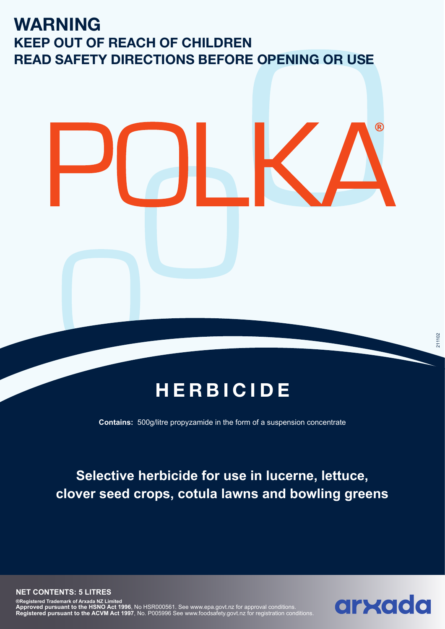## **WARNING KEEP OUT OF REACH OF CHILDREN READ SAFETY DIRECTIONS BEFORE OPENING OR USE**

## **HERBICIDE**

**Contains:** 500g/litre propyzamide in the form of a suspension concentrate

## **Selective herbicide for use in lucerne, lettuce, clover seed crops, cotula lawns and bowling greens**



**R**